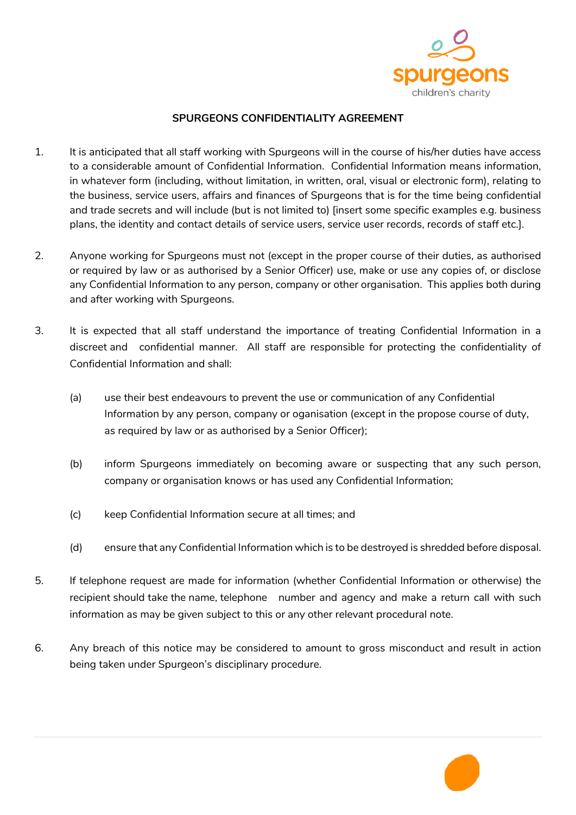

## **SPURGEONS CONFIDENTIALITY AGREEMENT**

- 1. It is anticipated that all staff working with Spurgeons will in the course of his/her duties have access to a considerable amount of Confidential Information. Confidential Information means information, in whatever form (including, without limitation, in written, oral, visual or electronic form), relating to the business, service users, affairs and finances of Spurgeons that is for the time being confidential and trade secrets and will include (but is not limited to) [insert some specific examples e.g. business plans, the identity and contact details of service users, service user records, records of staff etc.].
- 2. Anyone working for Spurgeons must not (except in the proper course of their duties, as authorised or required by law or as authorised by a Senior Officer) use, make or use any copies of, or disclose any Confidential Information to any person, company or other organisation. This applies both during and after working with Spurgeons.
- 3. It is expected that all staff understand the importance of treating Confidential Information in a discreet and confidential manner. All staff are responsible for protecting the confidentiality of Confidential Information and shall:
	- (a) use their best endeavours to prevent the use or communication of any Confidential Information by any person, company or oganisation (except in the propose course of duty, as required by law or as authorised by a Senior Officer);
	- (b) inform Spurgeons immediately on becoming aware or suspecting that any such person, company or organisation knows or has used any Confidential Information;
	- (c) keep Confidential Information secure at all times; and
	- (d) ensure that any Confidential Information which is to be destroyed is shredded before disposal.
- 5. If telephone request are made for information (whether Confidential Information or otherwise) the recipient should take the name, telephone number and agency and make a return call with such information as may be given subject to this or any other relevant procedural note.
- 6. Any breach of this notice may be considered to amount to gross misconduct and result in action being taken under Spurgeon's disciplinary procedure.

P.1 (2011) The contract of the contract of the contract of the contract of the contract of the contract of the